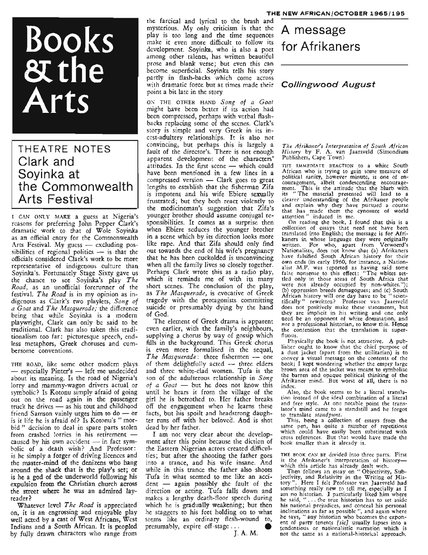# Books &the Arts

### THEATRE NOTES Clark. and Soyinka at the Commonwealth Arts Festival

I CAN ONLY MAKE a guess at Nigeria's reasons for preferring John Pepper Clark's dramatic work to that of Wole Soyinka as an official entry for the Commonwealth Arts Festival. My guess  $-$  excluding possibilities of regional politics  $-$  is that the officials considered Clark's work to be more representative of indigenous culture than Soyinka's. Fortunately Stage Sixty gave us the chance to see Soyinka's play *The Road,* as an unofficial forerunner of the festival. *The Road* is in my opinion as indigenous as Clark's two playlets, *Song of a Goat* and *The Masquerade;* the difference being that while Soyinka is a modern playwright, Clark can only be said to be traditional. Clark has also taken this traditionalism too far: picturesque speech, endless metaphors, Greek choruses and cumbersome conventions.

THE ROAD, like some other modern plays - especially Pinter's - left me undecided about its meaning. Is the road of Nigeria's lorry and mammy-wagon drivers actual or symbolic? Is Kotonu simply afraid of going out on the road again in the passenger truck he drives  $-$  as his tout and childhood friend Samson vainly urges him to do  $-$  or is it life he is afraid of? Is Kotonu's " morbid" decision to deal in spare parts stolen from crashed lorries in his retirement  $$ caused by his own accident  $-$  in fact symbolic of a death wish? And Professor: is he simply a forger of driving licences and the master-mind of the denizens who hang around the shack that is the play's set; or is he a god of the underworld following his expulsion from the Christian church across the street where he was an admired layreader?

Whatever level *The Road* is appreciated on, it is an engrossing and enjoyable play well acted by a cast of West Africans, West Indians and a South African. It is peopled by fully drawn characters who range from

the farcical and lyrical to the brash and mysterious. My only criticism is that the  $A$  message play is too long and the time sequences  $A$  message make it even more difficult to follow its development. Soyinka, who is also a poet among other talents, has written beautiful prose and blank verse; but even this can become superficial. Soyinka tells his story partly in flash-backs which come across with dramatic force but at times made their  $\text{Collingwood}$  August point a bit late in the story

ON THE OTHER HAND *Song of a Goat* might have been better if its action had been compressed, perhaps with verbal flashbacks replacing some of the scenes. Clark's story is simple and very Greek in its incest-adultery relationships. It is also not convincing, but perhaps this is largely a fault of the director's. There is not enough apparent development of the characters' attitudes. In the first scene - which could have been mentioned in a few lines in a compressed version  $-$  Clark goes to great lengths to establish that the fisherman Zifa is impotent and his wife Ebiere sexually frustrated; but they both react violently to the medicineman's suggestion that Zifa's younger brother should assume conjugal responsibilities. It comes as a surprise then when Ebiere seduces the younger brother in a scene which by its direction looks more like rape. And that Zifa should only find out towards the end of his wife's pregnancy that he has been cuckolded is unconvincing when all the family lives so closely together. Perhaps Clark wrote this as a radio play, which it reminds me of with its many short scenes. The conclusion of the play, as *The Masquerade,* is evocative of Greek tragedy with the protagonists committing suicide or presumably dying by the hand of God.

The element of Greek drama is apparent even earlier, with the family's neighbours, supplying a chorus by way of gossip which fills in the background. This Greek chorus is even more formalised in the sequal, The Masquerade: three fishermen - one of them delightfully acted - three elders and three white-clad women. Tufa is the son of the adulterous relationship in *Song of a Goat* - but he does not know this until he hears it from the village of the girl he is betrothed to. Her father breaks off the engagement when he learns these facts, but his spoilt and headstrong daughter runs off with her beloved. And is shot dead by her father.

I am not very clear about the development after this point because the diction of the Eastern Nigerian actors created difficulties; but after the shooting the father goes into a trance, and his wife insane. And while in this trance the father also shoots Tufa in what seemed to me like an accident - again possibly the fault of the direction or acting. Tufa falls down and makes a lengthy death-floor speech during which he is gradually weakening; but then he staggers to his feet holding on to what seems like an ordinary flesh-wound to, presumably, expire off-stage...

## for Afrikaners

*The Afrikaner's Interpretation of South African History* by F. A. van Jaarsveld (Simondium Publishers, Cape Town)

THE IMMEDIATE REACTION to a white South African who is trying to gain some measure of political sanity, however minute, is one of en- couragement, albeit condescending encouragement. This is the attitude that the blurb with its "The material presented will lead to <sup>a</sup> clearer understanding of the Afrikaner people and explain why they have pursued <sup>a</sup> course that has made them the cynosure of world attention" induced in me. '

On reading the book, <sup>I</sup> found that this is <sup>a</sup> collection of essays that need not have been translated into English; the message is for Afrikaners in whose language they were originally written. For who, apart from Verwoerd's Nationalists, does not know that (a) Afrikaners have falsified South African history for their own ends (in early 1960, for instance, <sup>a</sup> Nationalist M.P. was reported as having said some false nonsense to this effect: "The whites settled only in those areas of South Africa that were not already occupied by non-whites."); (b) oppression breeds demagogues; and (c) South African history will one day have to be " scien-tificallY" rewritten? Professor van J aarsveld does not positively make these statements, but they are implicit in his writing and one only need be an opponent of white domination, and *not* a professional historian, to know this. Hence the contention that the translation is superfluous.

Physically the book is not attractive. A publisher ought to know that the chief purpose of <sup>a</sup> dust jacket (apart from the utilitarian) is to convey a visual message on the contents of the book; I kept wondering whether the empty large brown area of the jacket was meant to symbolise the barren and opaque political thinking of the Afrikaner mind. But worst of all, there is no index.

Also, the book seems to be a literal translation instead of the ideal combination of a literal and free style. At one notable point the trans-<br>lator's mind came to a standstill and he forgot to translate *standpunt*.<br>This, being a collection of essays from the

same pen, has quite a number of repetitions which could have easily been substituted with cross references. But that would have made the book smaller than it already is.

THE BOOK CAN BE divided into three parts. First is the Afrikaner's interpretation of history-

which this article has already dealt with. Then follows an essay on "Objectivity, Subjectivity, and Relativity in the Writing of His-<br>tory ". Here I felt Professor van Jaarsveld had something really new to tell me, especially as I<br>am no historian. I particularly liked him where and no mistorian. I particularly liked film where his national prejudices, and conceal his personal inclinations as far as possible ", and again where he says, " any historian who becomes the exponent of party tenents *[sic]* usually lapses into <sup>a</sup> tendentious or nationalistic narration which is not the same as a national-historical approach.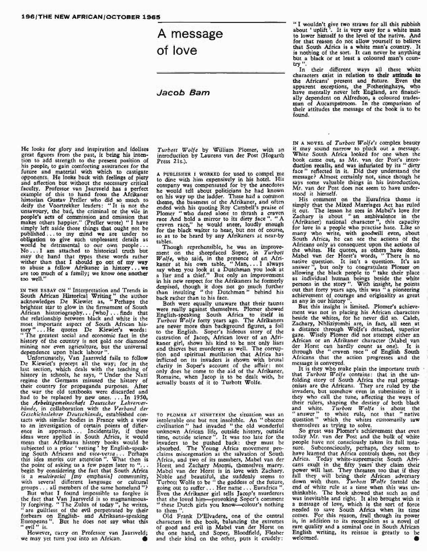## A message of love

#### Jacob Barn

He looks for glory and inspiration and idolises great figures from the past, it being his intention to add strength to the present position of his people, to gain comforting assurances for the future and material with which to castigate opponents. He looks back with feelings of piety and affection but without the necessary critical faculty. Professor van Jaarsveld has a perfect example of this to hand from the Afrikaner historian Gustav Preller who did so much to deify the Voortrekker leaders: "It is not the unsavoury, the bad, the criminal or the vile in people's acts of commission and omission that people's acts of commission and omission that<br>makes others happier." (Preller wrote) "I have<br>simply left aside those things that ought not be published ... to my mind we are under no obligation to give such unpleasant details as would be detrimental to our own people ... No ... I am attached to historical truth but may the hand that types these words rather wither than that I should go out of my way to abuse <sup>a</sup> fellow Afrikaner in history ..• we are too much of <sup>a</sup> family; we know one another too well."

IN THE ESSAY ON " Interpretation and Trends in South African Historical Writing" the author acknowledges De Kiewiet as, "Perhaps the brightest star to glow in the firmament of South African historiography... [who] ... finds that the relationship between black and white is the most important aspect of South African his-tory " ... He quotes De Kiewiet's words: "The greatest social and economic fact in the history of the country is not gold nor diamond mining nor even agriculture, but the universal dependence upon black labour".

Unfortunately, Van Jaarsveld fails to follow De Kiewiet's precept all the way; for in the last section, which deals with the teaching of history in schools, he says, "Under the Nazi regime the Germans misused the history of their country for propaganda purposes. After the war the old textbooks were discarded and had to be replaced by new ones.... In 1950, the *Arbeitsgemeinschaft Deutscher Lehrerverbiinde,* in collaboration with the *Verband der Geschichtslehrer Deutschlands*, established con-<br>tacts with similar bodies in France with a view<br>to an investigation of certain points of difference in approach... Incidentally, if these ideas were applied in South Africa, it would ideas were applied in South Africa, it would mean that Afrikaans history books would be subjected to a prior 'vetting' by English-speaking South Africans and *vice-versa.* .. Perhaps this idea merits our attention". What then is the point of asking us a few pages later to "... begin by considering the fact that South Africa is a *multiracial* [my emphasis] community, with several different language or cultural groups . . . all members of the same homeland "

But what I found impossible to forgive is the fact that Van Jaarsveld is so magnanimous-ly forgiving. "The Zulus of today", he writes, are guiltless of the evil perpetrated by their forbears on English- and Afrikaans-speaking Europeans". But he does not say what this " evil" is.

However, carry on Professor van Jaarsveld; we may yet turn you into an African. •

*Turbott <sup>W</sup> oile* by William Plomer, with an introduction by Laurens van der Post (Hogarth Press 21s.).

<sup>A</sup> PUBLISHER <sup>I</sup> WORKED for used to compel me to dine with him expensively in his hotel. His company was compensated for by the anecdotes he would tell about politicians he had known<br>on his way up the ladder. These had a common ended with his quoting Roy Cambell's praise of Plomer "who dared alone to thrash <sup>a</sup> craven race And hold <sup>a</sup> mirror to its dirty face". "A craven race," he would sneer, loudly enough face Ania book a minor to has arry accepted.<br>For the black waiter to hear, but not of course, so as to be heard by any Afrikaners at near-by tables.

Though reprehensible, he was an improve-ment on the sheepfaced Soper, in *Turbott* W*olfe,* who said, in the presence of an Afri-kaner at his own table, "Man, ... <sup>I</sup> always say when you look at <sup>a</sup> Dutchman you look at <sup>a</sup> liar and <sup>a</sup> thief." But only an improvement in his new respect for the Afrikaners he formerly despised, though it does not go much further than insulting "the Dutchman" behind his back rather than to his face.<br>Both were equally unaware that their taunts

were really against themselves. Plomer showed English-speaking South Africa to itself in *Turbott Wolle* forty years ago. The Afrikaners are never more than background figures, <sup>a</sup> foil to the English. Soper's hideous story of the castration of Jacop, African lover of an Afri-kaner girl, shows his kind to be not only liars and thieves but murderers as well. The corruption and spiritual mutilation that Africa has inflicted on its invaders is shown with brutal clarity in Soper's account of the affair: not only does he come to the aid of the Afrikaner, Romaine, when Jacop is to be dealt with, he actually boasts of it to Turbott Wolfe.

TO PLOMER AT NINETEEN the situation was an intolerable one but not insoluble. An" obscene civilisation" had invaded "the old wonderful unknown African life, outside history, outside time, outside science". It was too late for the invaders to be pushed back: they must be absorbed. The Young Africa movement pro-claims miscegenation as the salvation of South Africa, and two of its members, Mabel van der Horst and Zachary Msomi, themselves marry. Mabel van der Horst is in love with Zachary. Noble and beautiful, she suddenly seems to Turbott Wolfe to be " the goddess of the future, going out to suffer . . . Her name . . . Eurafrica ' Even the Afrikaner girl tells Jacop's murderers that she loved him-provoking Soper's comment "these Dutch girls you know---colour's nothing to them".

Old Frank D'Elvadere, one of the central characters in the book, balancing the extremes of good and evil in Mabel van der Horst on of good and evil in Mabel van der Horst on the one hand, and Soper, Bloodfield, Flesher and their kind on the other, puts it crudely:

" I wouldn't give two straws for all this rubbish about' uplift '. It is very easy for <sup>a</sup> white man to lower himself to the level of the native. And for that reason do not allow yourself to believe that South Africa is a white man's country. It<br>is nothing of the sort. It can never be anything<br>but a black or at least a coloured man's country ".

In their different ways all these white characters exist in relation to their attitude to<br>the Africans' present and future. Even the apparent exceptions, the Fotheringhays, Who have mentally never left England, are financially dependent on Alfredson, <sup>a</sup> coloured trades- man of Aucampstroom. In the comparison of their attitudes the message of the book is to be found.

IN A NOVEL of *Turbott W olle's* complex beauty it may sound narrow to pluck out a message. White South Africa looked for one when the<br>book came out, as Mr. van der Post's intro-<br>duction recalls, and was infuriated by its "dirty<br>face" reflected in it. Did they understand the<br>message? Almost certainly not, since t says some valuable things in his introduction, Mr. van der Post does not seem to have understood it himself.

His comment on the Eurafrica theme is simply that the Mixed Marriages Act has ruled it out. The lesson he sees in Mabel's love for Zachary is about "an ambivalence in the (Afrikaner) national character ", this capacity for love in <sup>a</sup> people who practise hate. Like so many who write, with goodwill even, about many who write, with goodwill even, about South Africa, he can see the actions of the Africans only as consequent upon the actions of the whites. He quotes, as others have done, Mabel van der Horst's words, "There is no native question. It isn't a question. It's an answer", but only to congratulate Plomer on allowing the black people to "take their place as individual human beings beside the white persons in the story". With insight, he points out that forty years ago, this was" a pioneering achievement of courage and originality as great as any in our history ".

But this insight is limited. Plomer's achievement was not in placing his African characters beside the whites, for he never did so. Caleb, Zachary, Nhliziyombi are, in fact, all seen at a distance through Wolfe's detached, superior gaze. Wisely Plomer did not attempt either an gaze. Wisely Plomer did not attempt either an African or an Afrikaner character (Mabel van der Horst can hardly count as one). It is<br>through the "craven race" of English South<br>Africans that the action progresses and the message is conveyed.

It is they who make plain the important truth that *Turbott <sup>W</sup> olle* contains: that in the un- folding story of South Africa the real protagonists are the Africans. They are ruled by the invaders, but somehow even in submission it is they who call the tune, affecting the ways of their rulers, shaping the destiny of both black and white. *Turbott Wolle* is about the " answer" to white rule, not that "native question" which the whites customarily saw themselves as trying to solve.

So great was Plomer's achievement that even today Mr. van der Post and the bulk of white people have not consciously taken its full meapeople have not consciously taken its full mea- sure. Subconsciously, perhaps, they seem to have learned that Africa controls them, not they Mrica. Today white-supremacist South Afri- cans exult in the fifty years· they claim their power will last. They threaten too that if they<br>fall they will bring their African adversary down with them. *Turbott Wolle* fortold the end of white rule at a time when this was un-<br>thinkable. The book showed that such an end<br>was inevitable and right. It also brought with it<br>a message of love, which is the sort of force needed to save South Africa when its time comes. For this reason, frail though its power is, in addition to its recognition as <sup>a</sup> novel of rare quality and <sup>a</sup> seminal one in South African English writing, its reissue is greatly to be welcomed. •